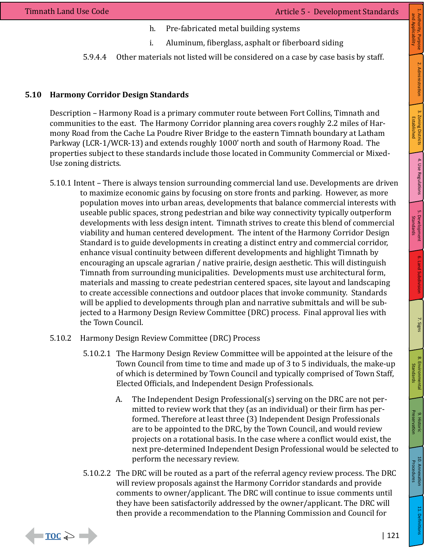$\blacksquare$  TOC  $\geqslant$   $\blacksquare$ 

- h. Pre-fabricated metal building systems
- i. Aluminum, fiberglass, asphalt or fiberboard siding
- 5.9.4.4 Other materials not listed will be considered on a case by case basis by staff.

# **5.10 Harmony Corridor Design Standards**

Description – Harmony Road is a primary commuter route between Fort Collins, Timnath and communities to the east. The Harmony Corridor planning area covers roughly 2.2 miles of Harmony Road from the Cache La Poudre River Bridge to the eastern Timnath boundary at Latham Parkway (LCR-1/WCR-13) and extends roughly 1000' north and south of Harmony Road. The properties subject to these standards include those located in Community Commercial or Mixed-Use zoning districts.

- 5.10.1 Intent There is always tension surrounding commercial land use. Developments are driven to maximize economic gains by focusing on store fronts and parking. However, as more population moves into urban areas, developments that balance commercial interests with useable public spaces, strong pedestrian and bike way connectivity typically outperform developments with less design intent. Timnath strives to create this blend of commercial viability and human centered development. The intent of the Harmony Corridor Design Standard is to guide developments in creating a distinct entry and commercial corridor, enhance visual continuity between different developments and highlight Timnath by encouraging an upscale agrarian / native prairie, design aesthetic. This will distinguish Timnath from surrounding municipalities. Developments must use architectural form, materials and massing to create pedestrian centered spaces, site layout and landscaping to create accessible connections and outdoor places that invoke community. Standards will be applied to developments through plan and narrative submittals and will be subjected to a Harmony Design Review Committee (DRC) process. Final approval lies with the Town Council.
- 5.10.2 Harmony Design Review Committee (DRC) Process
	- 5.10.2.1 The Harmony Design Review Committee will be appointed at the leisure of the Town Council from time to time and made up of 3 to 5 individuals, the make-up of which is determined by Town Council and typically comprised of Town Staff, Elected Officials, and Independent Design Professionals.
		- A. The Independent Design Professional(s) serving on the DRC are not permitted to review work that they (as an individual) or their firm has performed. Therefore at least three (3) Independent Design Professionals are to be appointed to the DRC, by the Town Council, and would review projects on a rotational basis. In the case where a conflict would exist, the next pre-determined Independent Design Professional would be selected to perform the necessary review.
	- 5.10.2.2 The DRC will be routed as a part of the referral agency review process. The DRC will review proposals against the Harmony Corridor standards and provide comments to owner/applicant. The DRC will continue to issue comments until they have been satisfactorily addressed by the owner/applicant. The DRC will then provide a recommendation to the Planning Commission and Council for

Established

1. Authority, Purpose<br>and Applicability and Applicability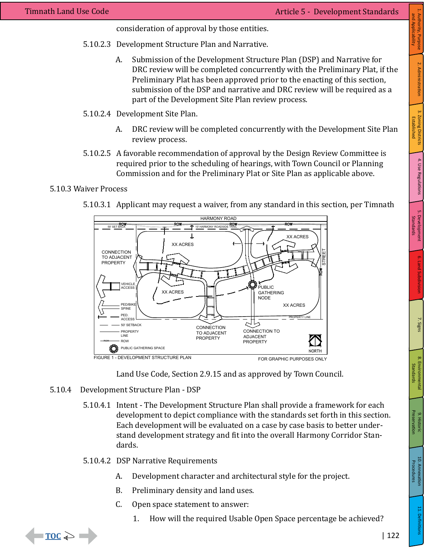consideration of approval by those entities.

- 5.10.2.3 Development Structure Plan and Narrative.
	- A. Submission of the Development Structure Plan (DSP) and Narrative for DRC review will be completed concurrently with the Preliminary Plat, if the Preliminary Plat has been approved prior to the enacting of this section, submission of the DSP and narrative and DRC review will be required as a part of the Development Site Plan review process.
- 5.10.2.4 Development Site Plan.
	- A. DRC review will be completed concurrently with the Development Site Plan review process.
- 5.10.2.5 A favorable recommendation of approval by the Design Review Committee is required prior to the scheduling of hearings, with Town Council or Planning Commission and for the Preliminary Plat or Site Plan as applicable above.

#### 5.10.3 Waiver Process

5.10.3.1 Applicant may request a waiver, from any standard in this section, per Timnath





- 5.10.4 Development Structure Plan DSP
	- 5.10.4.1 Intent The Development Structure Plan shall provide a framework for each development to depict compliance with the standards set forth in this section. Each development will be evaluated on a case by case basis to better understand development strategy and fit into the overall Harmony Corridor Standards.
	- 5.10.4.2 DSP Narrative Requirements
		- A. Development character and architectural style for the project.
		- B. Preliminary density and land uses.
		- C. Open space statement to answer:
			- 1. How will the required Usable Open Space percentage be achieved?



10. Annexation<br>
10. Annexation

11. Definitions

9. Historic Preservation

9. Historic<br>Preservation

8. Environmental Standards

8. Environmental<br>Standards

5. Development **6.** Land Subdivision 7. Signs

6. Land Subdivision

7. Signs

Standards

5. Development<br>Standards

4. Use Regulations 3. Zoning Districts

4. Use Regulations

1. Authority, Purpose | 2. Administration

2. Administration

1. Authority, Purpose<br>and Applicability and Applicability

Established

3. Zoning Districts<br>Established

Procedures

10. Annexation<br>Procedures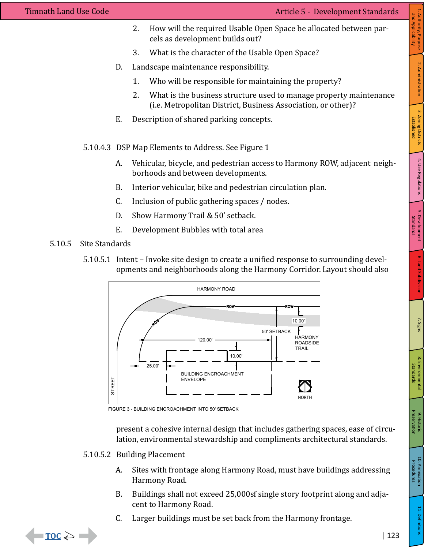- 2. How will the required Usable Open Space be allocated between parcels as development builds out?
- 3. What is the character of the Usable Open Space?
- D. Landscape maintenance responsibility.
	- 1. Who will be responsible for maintaining the property?
	- 2. What is the business structure used to manage property maintenance (i.e. Metropolitan District, Business Association, or other)?
- E. Description of shared parking concepts.
- 5.10.4.3 DSP Map Elements to Address. See Figure 1
	- A. Vehicular, bicycle, and pedestrian access to Harmony ROW, adjacent neighborhoods and between developments.
	- B. Interior vehicular, bike and pedestrian circulation plan.
	- C. Inclusion of public gathering spaces / nodes.
	- D. Show Harmony Trail & 50' setback.
	- E. Development Bubbles with total area
- 5.10.5 Site Standards
	- 5.10.5.1 Intent Invoke site design to create a unified response to surrounding developments and neighborhoods along the Harmony Corridor. Layout should also



FIGURE 3 - BUILDING ENCROACHMENT INTO 50' SETBACK

present a cohesive internal design that includes gathering spaces, ease of circulation, environmental stewardship and compliments architectural standards.

- 5.10.5.2 Building Placement
	- A. Sites with frontage along Harmony Road, must have buildings addressing Harmony Road.
	- B. Buildings shall not exceed 25,000sf single story footprint along and adjacent to Harmony Road.
	- C. Larger buildings must be set back from the Harmony frontage.

5. Development **6.** Land Subdivision 7. Signs

6. Land Subdivision

7. Signs

Standards

5. Development<br>Standards

4. Use Regulations 3. Zoning Districts

4. Use Regulations

1. Authority, Purpose | 2. Administration

2. Administration

1. Authority, Purpose<br>and Applicability and Applicability

Established

3. Zoning Districts<br>Established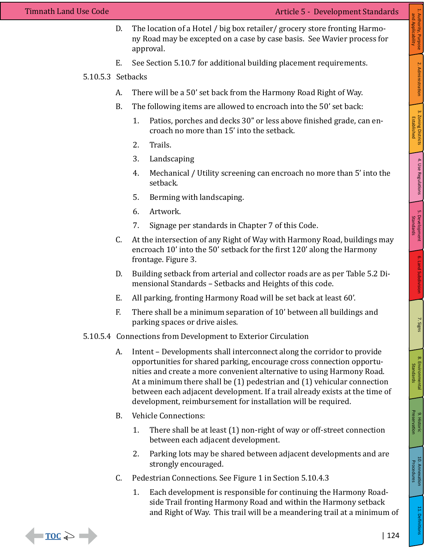$\blacksquare$  TOC  $\geqslant$   $\blacksquare$ 

- D. The location of a Hotel / big box retailer/ grocery store fronting Harmony Road may be excepted on a case by case basis. See Wavier process for approval.
- E. See Section 5.10.7 for additional building placement requirements.
- 5.10.5.3 Setbacks
	- A. There will be a 50' set back from the Harmony Road Right of Way.
	- B. The following items are allowed to encroach into the 50' set back:
		- 1. Patios, porches and decks 30" or less above finished grade, can encroach no more than 15' into the setback.
		- 2. Trails.
		- 3. Landscaping
		- 4. Mechanical / Utility screening can encroach no more than 5' into the setback.
		- 5. Berming with landscaping.
		- 6. Artwork.
		- 7. Signage per standards in Chapter 7 of this Code.
	- C. At the intersection of any Right of Way with Harmony Road, buildings may encroach 10' into the 50' setback for the first 120' along the Harmony frontage. Figure 3.
	- D. Building setback from arterial and collector roads are as per Table 5.2 Dimensional Standards – Setbacks and Heights of this code.
	- E. All parking, fronting Harmony Road will be set back at least 60'.
	- F. There shall be a minimum separation of 10' between all buildings and parking spaces or drive aisles.
- 5.10.5.4 Connections from Development to Exterior Circulation
	- A. Intent Developments shall interconnect along the corridor to provide opportunities for shared parking, encourage cross connection opportunities and create a more convenient alternative to using Harmony Road. At a minimum there shall be (1) pedestrian and (1) vehicular connection between each adjacent development. If a trail already exists at the time of development, reimbursement for installation will be required.
	- B. Vehicle Connections:
		- 1. There shall be at least (1) non-right of way or off-street connection between each adjacent development.
		- 2. Parking lots may be shared between adjacent developments and are strongly encouraged.
	- C. Pedestrian Connections. See Figure 1 in Section 5.10.4.3
		- 1. Each development is responsible for continuing the Harmony Roadside Trail fronting Harmony Road and within the Harmony setback and Right of Way. This trail will be a meandering trail at a minimum of

1. Authority, Purpose | 2. Administration

2. Administration

1. Authority, Purpose<br>and Applicability and Applicability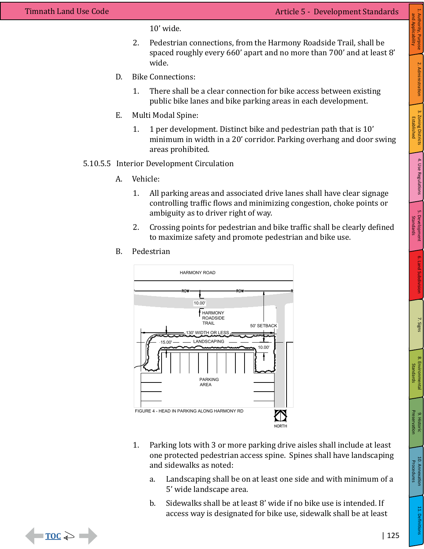$\Box$  TOC  $\Leftrightarrow$   $\Box$ 

10' wide.

- 2. Pedestrian connections, from the Harmony Roadside Trail, shall be spaced roughly every 660' apart and no more than 700' and at least 8' wide.
- D. Bike Connections:
	- 1. There shall be a clear connection for bike access between existing public bike lanes and bike parking areas in each development.
- E. Multi Modal Spine:
	- 1. 1 per development. Distinct bike and pedestrian path that is 10' minimum in width in a 20' corridor. Parking overhang and door swing areas prohibited.
- 5.10.5.5 Interior Development Circulation
	- A. Vehicle:
		- 1. All parking areas and associated drive lanes shall have clear signage controlling traffic flows and minimizing congestion, choke points or ambiguity as to driver right of way.
		- 2. Crossing points for pedestrian and bike traffic shall be clearly defined to maximize safety and promote pedestrian and bike use.
	- B. Pedestrian



- 1. Parking lots with 3 or more parking drive aisles shall include at least one protected pedestrian access spine. Spines shall have landscaping and sidewalks as noted:
	- a. Landscaping shall be on at least one side and with minimum of a 5' wide landscape area.
	- b. Sidewalks shall be at least 8' wide if no bike use is intended. If access way is designated for bike use, sidewalk shall be at least



Established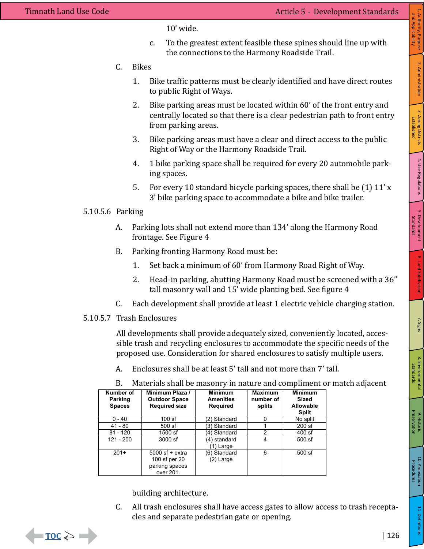$\Box$   $\subset$   $\subset$   $\Box$ 

10' wide.

- c. To the greatest extent feasible these spines should line up with the connections to the Harmony Roadside Trail.
- C. Bikes
	- 1. Bike traffic patterns must be clearly identified and have direct routes to public Right of Ways.
	- 2. Bike parking areas must be located within 60' of the front entry and centrally located so that there is a clear pedestrian path to front entry from parking areas.
	- 3. Bike parking areas must have a clear and direct access to the public Right of Way or the Harmony Roadside Trail.
	- 4. 1 bike parking space shall be required for every 20 automobile parking spaces.
	- 5. For every 10 standard bicycle parking spaces, there shall be (1) 11' x 3' bike parking space to accommodate a bike and bike trailer.

# 5.10.5.6 Parking

- A. Parking lots shall not extend more than 134' along the Harmony Road frontage. See Figure 4
- B. Parking fronting Harmony Road must be:
	- 1. Set back a minimum of 60' from Harmony Road Right of Way.
	- 2. Head-in parking, abutting Harmony Road must be screened with a 36" tall masonry wall and 15' wide planting bed. See figure 4
- C. Each development shall provide at least 1 electric vehicle charging station.

# 5.10.5.7 Trash Enclosures

All developments shall provide adequately sized, conveniently located, accessible trash and recycling enclosures to accommodate the specific needs of the proposed use. Consideration for shared enclosures to satisfy multiple users.

A. Enclosures shall be at least 5' tall and not more than 7' tall.

| Number of<br><b>Parking</b><br><b>Spaces</b> | Minimum Plaza /<br><b>Outdoor Space</b><br><b>Required size</b>   | <b>Minimum</b><br><b>Amenities</b><br>Required | <b>Maximum</b><br>number of<br>splits | <b>Minimum</b><br><b>Sized</b><br><b>Allowable</b><br><b>Split</b> |
|----------------------------------------------|-------------------------------------------------------------------|------------------------------------------------|---------------------------------------|--------------------------------------------------------------------|
| $0 - 40$                                     | $100$ sf                                                          | (2) Standard                                   | 0                                     | No split                                                           |
| 41 - 80                                      | 500 sf                                                            | (3) Standard                                   |                                       | 200 sf                                                             |
| $81 - 120$                                   | 1500 sf                                                           | (4) Standard                                   | $\overline{2}$                        | 400 sf                                                             |
| $121 - 200$                                  | 3000 sf                                                           | (4) standard<br>1) Large                       | 4                                     | 500 sf                                                             |
| $201+$                                       | $5000$ sf + extra<br>100 sf per 20<br>parking spaces<br>over 201. | (6) Standard<br>(2) Large                      | 6                                     | 500 sf                                                             |

B. Materials shall be masonry in nature and compliment or match adjacent

building architecture.

C. All trash enclosures shall have access gates to allow access to trash receptacles and separate pedestrian gate or opening.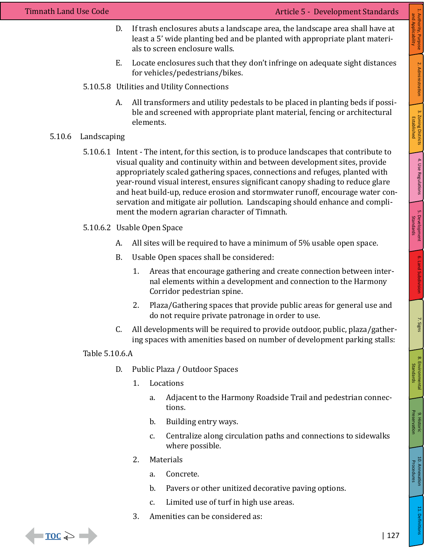- D. If trash enclosures abuts a landscape area, the landscape area shall have at least a 5' wide planting bed and be planted with appropriate plant materials to screen enclosure walls.
- E. Locate enclosures such that they don't infringe on adequate sight distances for vehicles/pedestrians/bikes.
- 5.10.5.8 Utilities and Utility Connections
	- A. All transformers and utility pedestals to be placed in planting beds if possible and screened with appropriate plant material, fencing or architectural elements.

### 5.10.6 Landscaping

- 5.10.6.1 Intent The intent, for this section, is to produce landscapes that contribute to visual quality and continuity within and between development sites, provide appropriately scaled gathering spaces, connections and refuges, planted with year-round visual interest, ensures significant canopy shading to reduce glare and heat build-up, reduce erosion and stormwater runoff, encourage water conservation and mitigate air pollution. Landscaping should enhance and compliment the modern agrarian character of Timnath.
- 5.10.6.2 Usable Open Space
	- A. All sites will be required to have a minimum of 5% usable open space.
	- B. Usable Open spaces shall be considered:
		- 1. Areas that encourage gathering and create connection between internal elements within a development and connection to the Harmony Corridor pedestrian spine.
		- 2. Plaza/Gathering spaces that provide public areas for general use and do not require private patronage in order to use.
	- C. All developments will be required to provide outdoor, public, plaza/gathering spaces with amenities based on number of development parking stalls:

Table 5.10.6.A

- D. Public Plaza / Outdoor Spaces
	- 1. Locations
		- a. Adjacent to the Harmony Roadside Trail and pedestrian connections.
		- b. Building entry ways.
		- c. Centralize along circulation paths and connections to sidewalks where possible.
	- 2. Materials
		- a. Concrete.
		- b. Pavers or other unitized decorative paving options.
		- c. Limited use of turf in high use areas.
	- 3. Amenities can be considered as:



10. Annexation<br>
10. Annexation

11. Definitions

9. Historic Preservation

9. Historic<br>Preservation

8. Environmental Standards

8. Environmental<br>Standards

5. Development **6.** Land Subdivision 7. Signs

6. Land Subdivision

7. Signs

Standards

5. Development<br>Standards

Procedures

10. Annexation<br>Procedures

and Applicability

Established

3. Zoning Districts<br>Established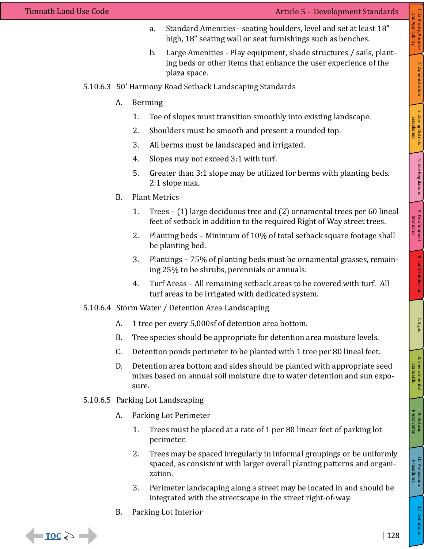- a. Standard Amenities– seating boulders, level and set at least 18" high, 18" seating wall or seat furnishings such as benches.
- b. Large Amenities Play equipment, shade structures / sails, planting beds or other items that enhance the user experience of the plaza space.
- 5.10.6.3 50' Harmony Road Setback Landscaping Standards
	- A. Berming
		- 1. Toe of slopes must transition smoothly into existing landscape.
		- 2. Shoulders must be smooth and present a rounded top.
		- 3. All berms must be landscaped and irrigated.
		- 4. Slopes may not exceed 3:1 with turf.
		- 5. Greater than 3:1 slope may be utilized for berms with planting beds. 2:1 slope max.
	- B. Plant Metrics
		- 1. Trees (1) large deciduous tree and (2) ornamental trees per 60 lineal feet of setback in addition to the required Right of Way street trees.
		- 2. Planting beds Minimum of 10% of total setback square footage shall be planting bed.
		- 3. Plantings 75% of planting beds must be ornamental grasses, remaining 25% to be shrubs, perennials or annuals.
		- 4. Turf Areas All remaining setback areas to be covered with turf. All turf areas to be irrigated with dedicated system.
- 5.10.6.4 Storm Water / Detention Area Landscaping
	- A. 1 tree per every 5,000sf of detention area bottom.
	- B. Tree species should be appropriate for detention area moisture levels.
	- C. Detention ponds perimeter to be planted with 1 tree per 80 lineal feet.
	- D. Detention area bottom and sides should be planted with appropriate seed mixes based on annual soil moisture due to water detention and sun exposure.
- 5.10.6.5 Parking Lot Landscaping
	- A. Parking Lot Perimeter
		- 1. Trees must be placed at a rate of 1 per 80 linear feet of parking lot perimeter.
		- 2. Trees may be spaced irregularly in informal groupings or be uniformly spaced, as consistent with larger overall planting patterns and organization.
		- 3. Perimeter landscaping along a street may be located in and should be integrated with the streetscape in the street right-of-way.
	- B. Parking Lot Interior



10. Annexation<br>
10. Annexation

11. Definition:

9. Historic Preservation

9. Historic<br>Preservation

8. Environmental Standards

8. Environmental<br>Standards

7. Signs

Procedures

10. Annexation<br>Procedures

Standards

Established

1. Authority, Purpose | 2. Administration

2. Administration

1. Authority, Purpose<br>and Applicability and Applicability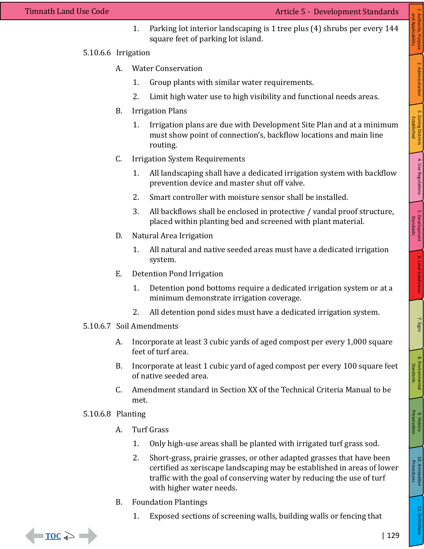1. Parking lot interior landscaping is 1 tree plus (4) shrubs per every 144 square feet of parking lot island.

## 5.10.6.6 Irrigation

- A. Water Conservation
	- 1. Group plants with similar water requirements.
	- 2. Limit high water use to high visibility and functional needs areas.
- B. Irrigation Plans
	- 1. Irrigation plans are due with Development Site Plan and at a minimum must show point of connection's, backflow locations and main line routing.
- C. Irrigation System Requirements
	- 1. All landscaping shall have a dedicated irrigation system with backflow prevention device and master shut off valve.
	- 2. Smart controller with moisture sensor shall be installed.
	- 3. All backflows shall be enclosed in protective / vandal proof structure, placed within planting bed and screened with plant material.
- D. Natural Area Irrigation
	- 1. All natural and native seeded areas must have a dedicated irrigation system.
- E. Detention Pond Irrigation
	- 1. Detention pond bottoms require a dedicated irrigation system or at a minimum demonstrate irrigation coverage.
	- 2. All detention pond sides must have a dedicated irrigation system.
- 5.10.6.7 Soil Amendments
	- A. Incorporate at least 3 cubic yards of aged compost per every 1,000 square feet of turf area.
	- B. Incorporate at least 1 cubic yard of aged compost per every 100 square feet of native seeded area.
	- C. Amendment standard in Section XX of the Technical Criteria Manual to be met.
- 5.10.6.8 Planting
	- A. Turf Grass
		- 1. Only high-use areas shall be planted with irrigated turf grass sod.
		- 2. Short-grass, prairie grasses, or other adapted grasses that have been certified as xeriscape landscaping may be established in areas of lower traffic with the goal of conserving water by reducing the use of turf with higher water needs.
	- B. Foundation Plantings
		- 1. Exposed sections of screening walls, building walls or fencing that

11. Definitions

9. Historic Preservation

9. Historic<br>Preservation

8. Environmental Standards

8. Environmental<br>Standards

5. Development **6.** Land Subdivision 7. Signs

6. Land Subdivision

7. Signs

Standards

5. Development<br>Standards

4. Use Regulations 3. Zoning Districts

4. Use Regulations

1. Authority, Purpose | 2. Administration

2. Administration

1. Authority, Purpose<br>and Applicability and Applicability

Established

3. Zoning Districts<br>Established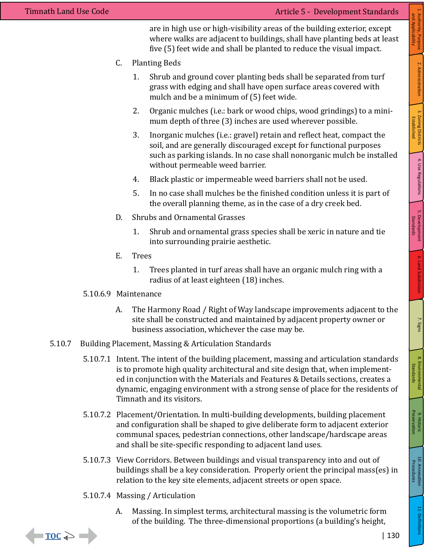are in high use or high-visibility areas of the building exterior, except where walks are adjacent to buildings, shall have planting beds at least five (5) feet wide and shall be planted to reduce the visual impact.

- C. Planting Beds
	- 1. Shrub and ground cover planting beds shall be separated from turf grass with edging and shall have open surface areas covered with mulch and be a minimum of (5) feet wide.
	- 2. Organic mulches (i.e.: bark or wood chips, wood grindings) to a minimum depth of three (3) inches are used wherever possible.
	- 3. Inorganic mulches (i.e.: gravel) retain and reflect heat, compact the soil, and are generally discouraged except for functional purposes such as parking islands. In no case shall nonorganic mulch be installed without permeable weed barrier.
	- 4. Black plastic or impermeable weed barriers shall not be used.
	- 5. In no case shall mulches be the finished condition unless it is part of the overall planning theme, as in the case of a dry creek bed.
- D. Shrubs and Ornamental Grasses
	- 1. Shrub and ornamental grass species shall be xeric in nature and tie into surrounding prairie aesthetic.
- E. Trees
	- 1. Trees planted in turf areas shall have an organic mulch ring with a radius of at least eighteen (18) inches.

### 5.10.6.9 Maintenance

- A. The Harmony Road / Right of Way landscape improvements adjacent to the site shall be constructed and maintained by adjacent property owner or business association, whichever the case may be.
- 5.10.7 Building Placement, Massing & Articulation Standards
	- 5.10.7.1 Intent. The intent of the building placement, massing and articulation standards is to promote high quality architectural and site design that, when implemented in conjunction with the Materials and Features & Details sections, creates a dynamic, engaging environment with a strong sense of place for the residents of Timnath and its visitors.
	- 5.10.7.2 Placement/Orientation. In multi-building developments, building placement and configuration shall be shaped to give deliberate form to adjacent exterior communal spaces, pedestrian connections, other landscape/hardscape areas and shall be site-specific responding to adjacent land uses.
	- 5.10.7.3 View Corridors. Between buildings and visual transparency into and out of buildings shall be a key consideration. Properly orient the principal mass(es) in relation to the key site elements, adjacent streets or open space.
	- 5.10.7.4 Massing / Articulation
		- A. Massing. In simplest terms, architectural massing is the volumetric form of the building. The three-dimensional proportions (a building's height,

| 130

10. Annexation<br>
10. Annexation

11. Definitions

9. Historic Preservation

9. Historic<br>Preservation

8. Environmental Standards

8. Environmental<br>Standards

5. Development **6.** Land Subdivision 7. Signs

6. Land Subdivision

7. Signs

Standards

5. Development<br>Standards

4. Use Regulations 3. Zoning Districts

4. Use Regulations

1. Authority, Purpose | 2. Administration

2. Administration

1. Authority, Purpose<br>and Applicability and Applicability

Established

3. Zoning Districts<br>Established

Procedures

10. Annexation<br>Procedures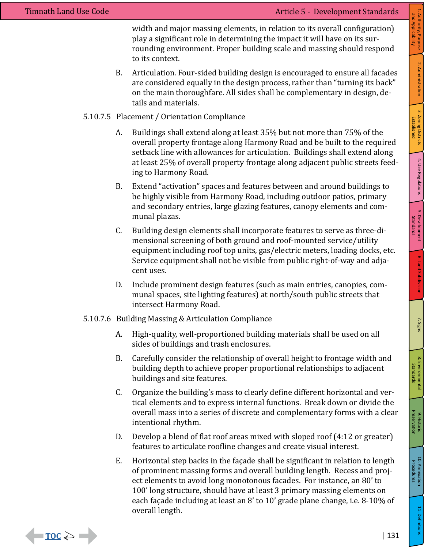$\blacksquare$  TOC  $\Rightarrow$   $\blacksquare$ 

width and major massing elements, in relation to its overall configuration) play a significant role in determining the impact it will have on its surrounding environment. Proper building scale and massing should respond to its context.

B. Articulation. Four-sided building design is encouraged to ensure all facades are considered equally in the design process, rather than "turning its back" on the main thoroughfare. All sides shall be complementary in design, details and materials.

### 5.10.7.5 Placement / Orientation Compliance

- A. Buildings shall extend along at least 35% but not more than 75% of the overall property frontage along Harmony Road and be built to the required setback line with allowances for articulation. Buildings shall extend along at least 25% of overall property frontage along adjacent public streets feeding to Harmony Road.
- B. Extend "activation" spaces and features between and around buildings to be highly visible from Harmony Road, including outdoor patios, primary and secondary entries, large glazing features, canopy elements and communal plazas.
- C. Building design elements shall incorporate features to serve as three-dimensional screening of both ground and roof-mounted service/utility equipment including roof top units, gas/electric meters, loading docks, etc. Service equipment shall not be visible from public right-of-way and adjacent uses.
- D. Include prominent design features (such as main entries, canopies, communal spaces, site lighting features) at north/south public streets that intersect Harmony Road.
- 5.10.7.6 Building Massing & Articulation Compliance
	- A. High-quality, well-proportioned building materials shall be used on all sides of buildings and trash enclosures.
	- B. Carefully consider the relationship of overall height to frontage width and building depth to achieve proper proportional relationships to adjacent buildings and site features.
	- C. Organize the building's mass to clearly define different horizontal and vertical elements and to express internal functions. Break down or divide the overall mass into a series of discrete and complementary forms with a clear intentional rhythm.
	- D. Develop a blend of flat roof areas mixed with sloped roof (4:12 or greater) features to articulate roofline changes and create visual interest.
	- E. Horizontal step backs in the façade shall be significant in relation to length of prominent massing forms and overall building length. Recess and project elements to avoid long monotonous facades. For instance, an 80' to 100' long structure, should have at least 3 primary massing elements on each façade including at least an 8' to 10' grade plane change, i.e. 8-10% of overall length.

1. Authority, Purpose<br>and Applicability 1. Authority, Purpose | 2. Administration 2. Administration 3. Zoning Districts<br>Established 4. Use Regulations 3. Zoning Districts Established

and Applicability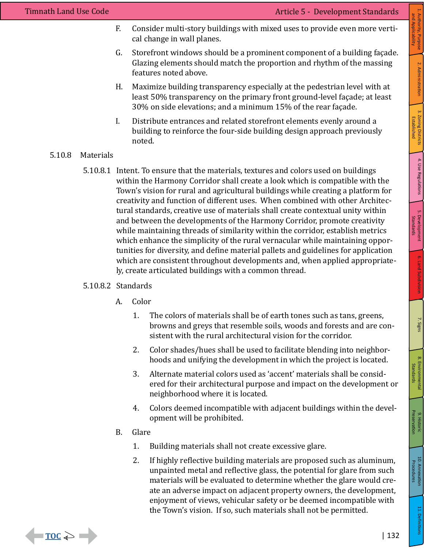- F. Consider multi-story buildings with mixed uses to provide even more vertical change in wall planes.
- G. Storefront windows should be a prominent component of a building façade. Glazing elements should match the proportion and rhythm of the massing features noted above.
- H. Maximize building transparency especially at the pedestrian level with at least 50% transparency on the primary front ground-level façade; at least 30% on side elevations; and a minimum 15% of the rear façade.
- I. Distribute entrances and related storefront elements evenly around a building to reinforce the four-side building design approach previously noted.

### 5.10.8 Materials

5.10.8.1 Intent. To ensure that the materials, textures and colors used on buildings within the Harmony Corridor shall create a look which is compatible with the Town's vision for rural and agricultural buildings while creating a platform for creativity and function of different uses. When combined with other Architectural standards, creative use of materials shall create contextual unity within and between the developments of the Harmony Corridor, promote creativity while maintaining threads of similarity within the corridor, establish metrics which enhance the simplicity of the rural vernacular while maintaining opportunities for diversity, and define material pallets and guidelines for application which are consistent throughout developments and, when applied appropriately, create articulated buildings with a common thread.

# 5.10.8.2 Standards

- A. Color
	- 1. The colors of materials shall be of earth tones such as tans, greens, browns and greys that resemble soils, woods and forests and are consistent with the rural architectural vision for the corridor.
	- 2. Color shades/hues shall be used to facilitate blending into neighborhoods and unifying the development in which the project is located.
	- 3. Alternate material colors used as 'accent' materials shall be considered for their architectural purpose and impact on the development or neighborhood where it is located.
	- 4. Colors deemed incompatible with adjacent buildings within the development will be prohibited.
- B. Glare

 $\blacksquare$  TOC  $\geqslant$   $\blacksquare$ 

- 1. Building materials shall not create excessive glare.
- 2. If highly reflective building materials are proposed such as aluminum, unpainted metal and reflective glass, the potential for glare from such materials will be evaluated to determine whether the glare would create an adverse impact on adjacent property owners, the development, enjoyment of views, vehicular safety or be deemed incompatible with the Town's vision. If so, such materials shall not be permitted.

1. Authority, Purpose<br>and Applicability 1. Authority, Purpose | 2. Administration and Applicability2. Administration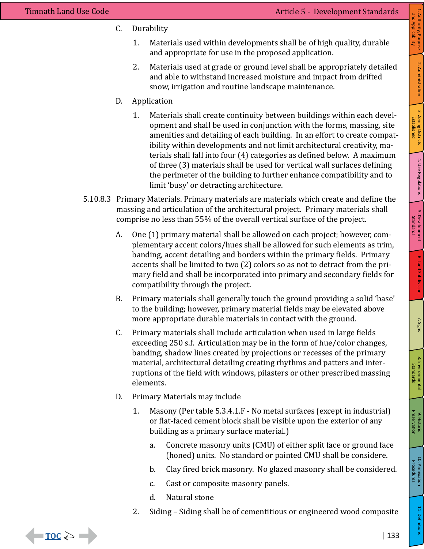$\blacksquare$  TOC  $\Rightarrow$   $\blacksquare$ 

C. Durability

- 2. Materials used at grade or ground level shall be appropriately detailed and able to withstand increased moisture and impact from drifted snow, irrigation and routine landscape maintenance.
- D. Application
	- 1. Materials shall create continuity between buildings within each development and shall be used in conjunction with the forms, massing, site amenities and detailing of each building. In an effort to create compatibility within developments and not limit architectural creativity, materials shall fall into four (4) categories as defined below. A maximum of three (3) materials shall be used for vertical wall surfaces defining the perimeter of the building to further enhance compatibility and to limit 'busy' or detracting architecture.
- 5.10.8.3 Primary Materials. Primary materials are materials which create and define the massing and articulation of the architectural project. Primary materials shall comprise no less than 55% of the overall vertical surface of the project.
	- A. One (1) primary material shall be allowed on each project; however, complementary accent colors/hues shall be allowed for such elements as trim, banding, accent detailing and borders within the primary fields. Primary accents shall be limited to two (2) colors so as not to detract from the primary field and shall be incorporated into primary and secondary fields for compatibility through the project.
	- B. Primary materials shall generally touch the ground providing a solid 'base' to the building; however, primary material fields may be elevated above more appropriate durable materials in contact with the ground.
	- C. Primary materials shall include articulation when used in large fields exceeding 250 s.f. Articulation may be in the form of hue/color changes, banding, shadow lines created by projections or recesses of the primary material, architectural detailing creating rhythms and patters and interruptions of the field with windows, pilasters or other prescribed massing elements.
	- D. Primary Materials may include
		- 1. Masony (Per table 5.3.4.1.F No metal surfaces (except in industrial) or flat-faced cement block shall be visible upon the exterior of any building as a primary surface material.)
			- a. Concrete masonry units (CMU) of either split face or ground face (honed) units. No standard or painted CMU shall be considere.
			- b. Clay fired brick masonry. No glazed masonry shall be considered.
			- c. Cast or composite masonry panels.
			- d. Natural stone
		- 2. Siding Siding shall be of cementitious or engineered wood composite

Standards

4. Use Regulations 3. Zoning Districts

4. Use Regulations

1. Authority, Purpose | 2. Administration

2. Administration

1. Authority, Purpose<br>and Applicability and Applicability

Established

3. Zoning Districts<br>Established

11. Definitions

| 133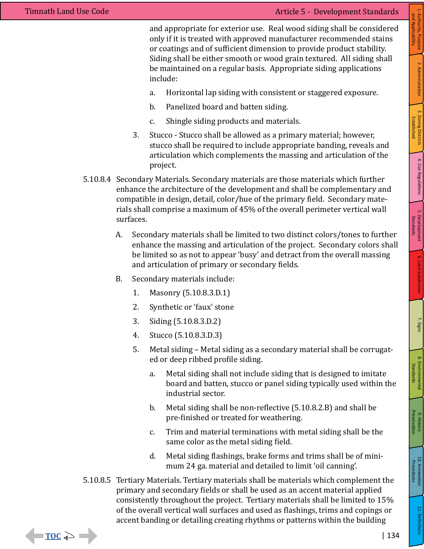$\rightarrow$   $\rightarrow$  TOC  $\rightarrow$   $\rightarrow$ 

and appropriate for exterior use. Real wood siding shall be considered only if it is treated with approved manufacturer recommended stains or coatings and of sufficient dimension to provide product stability. Siding shall be either smooth or wood grain textured. All siding shall be maintained on a regular basis. Appropriate siding applications include:

- a. Horizontal lap siding with consistent or staggered exposure.
- b. Panelized board and batten siding.
- c. Shingle siding products and materials.
- 3. Stucco Stucco shall be allowed as a primary material; however, stucco shall be required to include appropriate banding, reveals and articulation which complements the massing and articulation of the project.
- 5.10.8.4 Secondary Materials. Secondary materials are those materials which further enhance the architecture of the development and shall be complementary and compatible in design, detail, color/hue of the primary field. Secondary materials shall comprise a maximum of 45% of the overall perimeter vertical wall surfaces.
	- A. Secondary materials shall be limited to two distinct colors/tones to further enhance the massing and articulation of the project. Secondary colors shall be limited so as not to appear 'busy' and detract from the overall massing and articulation of primary or secondary fields.
	- B. Secondary materials include:
		- 1. Masonry (5.10.8.3.D.1)
		- 2. Synthetic or 'faux' stone
		- 3. Siding (5.10.8.3.D.2)
		- 4. Stucco (5.10.8.3.D.3)
		- 5. Metal siding Metal siding as a secondary material shall be corrugated or deep ribbed profile siding.
			- a. Metal siding shall not include siding that is designed to imitate board and batten, stucco or panel siding typically used within the industrial sector.
			- b. Metal siding shall be non-reflective (5.10.8.2.B) and shall be pre-finished or treated for weathering.
			- c. Trim and material terminations with metal siding shall be the same color as the metal siding field.
			- d. Metal siding flashings, brake forms and trims shall be of minimum 24 ga. material and detailed to limit 'oil canning'.
- 5.10.8.5 Tertiary Materials. Tertiary materials shall be materials which complement the primary and secondary fields or shall be used as an accent material applied consistently throughout the project. Tertiary materials shall be limited to 15% of the overall vertical wall surfaces and used as flashings, trims and copings or accent banding or detailing creating rhythms or patterns within the building

Established

Standards

7. Signs

Standards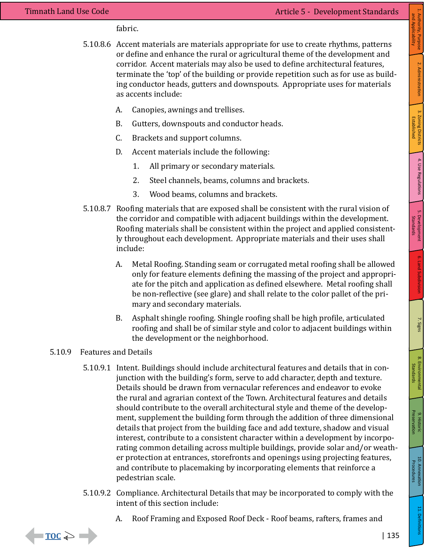fabric.

- 5.10.8.6 Accent materials are materials appropriate for use to create rhythms, patterns or define and enhance the rural or agricultural theme of the development and corridor. Accent materials may also be used to define architectural features, terminate the 'top' of the building or provide repetition such as for use as building conductor heads, gutters and downspouts. Appropriate uses for materials as accents include:
	- A. Canopies, awnings and trellises.
	- B. Gutters, downspouts and conductor heads.
	- C. Brackets and support columns.
	- D. Accent materials include the following:
		- 1. All primary or secondary materials.
		- 2. Steel channels, beams, columns and brackets.
		- 3. Wood beams, columns and brackets.
- 5.10.8.7 Roofing materials that are exposed shall be consistent with the rural vision of the corridor and compatible with adjacent buildings within the development. Roofing materials shall be consistent within the project and applied consistently throughout each development. Appropriate materials and their uses shall include:
	- A. Metal Roofing. Standing seam or corrugated metal roofing shall be allowed only for feature elements defining the massing of the project and appropriate for the pitch and application as defined elsewhere. Metal roofing shall be non-reflective (see glare) and shall relate to the color pallet of the primary and secondary materials.
	- B. Asphalt shingle roofing. Shingle roofing shall be high profile, articulated roofing and shall be of similar style and color to adjacent buildings within the development or the neighborhood.

#### 5.10.9 Features and Details

 $\rightarrow$  500

- 5.10.9.1 Intent. Buildings should include architectural features and details that in conjunction with the building's form, serve to add character, depth and texture. Details should be drawn from vernacular references and endeavor to evoke the rural and agrarian context of the Town. Architectural features and details should contribute to the overall architectural style and theme of the development, supplement the building form through the addition of three dimensional details that project from the building face and add texture, shadow and visual interest, contribute to a consistent character within a development by incorporating common detailing across multiple buildings, provide solar and/or weather protection at entrances, storefronts and openings using projecting features, and contribute to placemaking by incorporating elements that reinforce a pedestrian scale.
- 5.10.9.2 Compliance. Architectural Details that may be incorporated to comply with the intent of this section include:
	- A. Roof Framing and Exposed Roof Deck Roof beams, rafters, frames and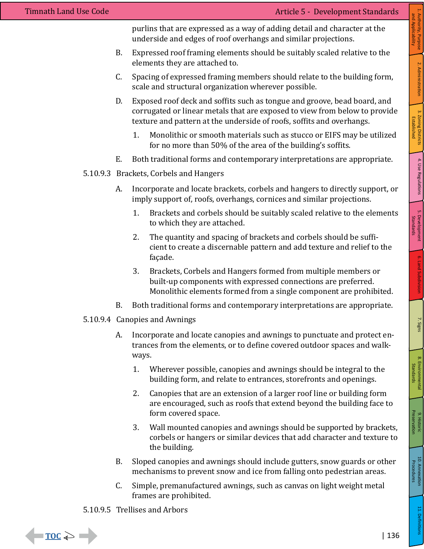purlins that are expressed as a way of adding detail and character at the underside and edges of roof overhangs and similar projections.

- B. Expressed roof framing elements should be suitably scaled relative to the elements they are attached to.
- C. Spacing of expressed framing members should relate to the building form, scale and structural organization wherever possible.
- D. Exposed roof deck and soffits such as tongue and groove, bead board, and corrugated or linear metals that are exposed to view from below to provide texture and pattern at the underside of roofs, soffits and overhangs.
	- 1. Monolithic or smooth materials such as stucco or EIFS may be utilized for no more than 50% of the area of the building's soffits.
- E. Both traditional forms and contemporary interpretations are appropriate.
- 5.10.9.3 Brackets, Corbels and Hangers
	- A. Incorporate and locate brackets, corbels and hangers to directly support, or imply support of, roofs, overhangs, cornices and similar projections.
		- 1. Brackets and corbels should be suitably scaled relative to the elements to which they are attached.
		- 2. The quantity and spacing of brackets and corbels should be sufficient to create a discernable pattern and add texture and relief to the façade.
		- 3. Brackets, Corbels and Hangers formed from multiple members or built-up components with expressed connections are preferred. Monolithic elements formed from a single component are prohibited.
	- B. Both traditional forms and contemporary interpretations are appropriate.
- 5.10.9.4 Canopies and Awnings
	- A. Incorporate and locate canopies and awnings to punctuate and protect entrances from the elements, or to define covered outdoor spaces and walkways.
		- 1. Wherever possible, canopies and awnings should be integral to the building form, and relate to entrances, storefronts and openings.
		- 2. Canopies that are an extension of a larger roof line or building form are encouraged, such as roofs that extend beyond the building face to form covered space.
		- 3. Wall mounted canopies and awnings should be supported by brackets, corbels or hangers or similar devices that add character and texture to the building.
	- B. Sloped canopies and awnings should include gutters, snow guards or other mechanisms to prevent snow and ice from falling onto pedestrian areas.
	- C. Simple, premanufactured awnings, such as canvas on light weight metal frames are prohibited.

# 5.10.9.5 Trellises and Arbors



and Applicability

Established

Standards

8. Environmental Standards

8. Environmental<br>Standards

10. Annexation<br>
10. Annexation

11. Definitions

Procedures

10. Annexation<br>Procedures